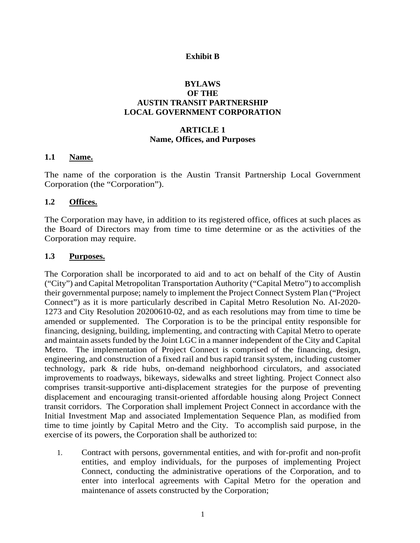### **Exhibit B**

## **BYLAWS OF THE AUSTIN TRANSIT PARTNERSHIP LOCAL GOVERNMENT CORPORATION**

#### **ARTICLE 1 Name, Offices, and Purposes**

#### **1.1 Name.**

The name of the corporation is the Austin Transit Partnership Local Government Corporation (the "Corporation").

#### **1.2 Offices.**

The Corporation may have, in addition to its registered office, offices at such places as the Board of Directors may from time to time determine or as the activities of the Corporation may require.

#### **1.3 Purposes.**

The Corporation shall be incorporated to aid and to act on behalf of the City of Austin ("City") and Capital Metropolitan Transportation Authority ("Capital Metro") to accomplish their governmental purpose; namely to implement the Project Connect System Plan ("Project Connect") as it is more particularly described in Capital Metro Resolution No. AI-2020- 1273 and City Resolution 20200610-02, and as each resolutions may from time to time be amended or supplemented. The Corporation is to be the principal entity responsible for financing, designing, building, implementing, and contracting with Capital Metro to operate and maintain assets funded by the Joint LGC in a manner independent of the City and Capital Metro. The implementation of Project Connect is comprised of the financing, design, engineering, and construction of a fixed rail and bus rapid transit system, including customer technology, park & ride hubs, on-demand neighborhood circulators, and associated improvements to roadways, bikeways, sidewalks and street lighting. Project Connect also comprises transit-supportive anti-displacement strategies for the purpose of preventing displacement and encouraging transit-oriented affordable housing along Project Connect transit corridors. The Corporation shall implement Project Connect in accordance with the Initial Investment Map and associated Implementation Sequence Plan, as modified from time to time jointly by Capital Metro and the City. To accomplish said purpose, in the exercise of its powers, the Corporation shall be authorized to:

1. Contract with persons, governmental entities, and with for-profit and non-profit entities, and employ individuals, for the purposes of implementing Project Connect, conducting the administrative operations of the Corporation, and to enter into interlocal agreements with Capital Metro for the operation and maintenance of assets constructed by the Corporation;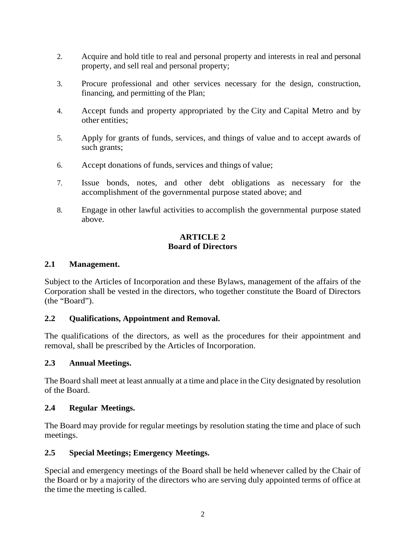- 2. Acquire and hold title to real and personal property and interests in real and personal property, and sell real and personal property;
- 3. Procure professional and other services necessary for the design, construction, financing, and permitting of the Plan;
- 4. Accept funds and property appropriated by the City and Capital Metro and by other entities;
- 5. Apply for grants of funds, services, and things of value and to accept awards of such grants;
- 6. Accept donations of funds, services and things of value;
- 7. Issue bonds, notes, and other debt obligations as necessary for the accomplishment of the governmental purpose stated above; and
- 8. Engage in other lawful activities to accomplish the governmental purpose stated above.

### **ARTICLE 2 Board of Directors**

## **2.1 Management.**

Subject to the Articles of Incorporation and these Bylaws, management of the affairs of the Corporation shall be vested in the directors, who together constitute the Board of Directors (the "Board").

#### **2.2 Qualifications, Appointment and Removal.**

The qualifications of the directors, as well as the procedures for their appointment and removal, shall be prescribed by the Articles of Incorporation.

#### **2.3 Annual Meetings.**

The Board shall meet at least annually at a time and place in the City designated by resolution of the Board.

#### **2.4 Regular Meetings.**

The Board may provide for regular meetings by resolution stating the time and place of such meetings.

#### **2.5 Special Meetings; Emergency Meetings.**

Special and emergency meetings of the Board shall be held whenever called by the Chair of the Board or by a majority of the directors who are serving duly appointed terms of office at the time the meeting is called.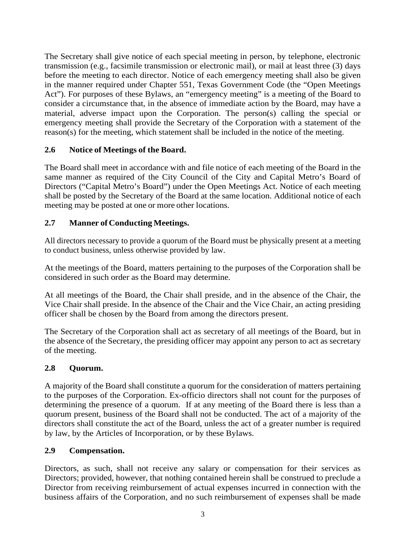The Secretary shall give notice of each special meeting in person, by telephone, electronic transmission (e.g., facsimile transmission or electronic mail), or mail at least three (3) days before the meeting to each director. Notice of each emergency meeting shall also be given in the manner required under Chapter 551, Texas Government Code (the "Open Meetings Act"). For purposes of these Bylaws, an "emergency meeting" is a meeting of the Board to consider a circumstance that, in the absence of immediate action by the Board, may have a material, adverse impact upon the Corporation. The person(s) calling the special or emergency meeting shall provide the Secretary of the Corporation with a statement of the reason(s) for the meeting, which statement shall be included in the notice of the meeting.

## **2.6 Notice of Meetings of the Board.**

The Board shall meet in accordance with and file notice of each meeting of the Board in the same manner as required of the City Council of the City and Capital Metro's Board of Directors ("Capital Metro's Board") under the Open Meetings Act. Notice of each meeting shall be posted by the Secretary of the Board at the same location. Additional notice of each meeting may be posted at one or more other locations.

## **2.7 Manner ofConducting Meetings.**

All directors necessary to provide a quorum of the Board must be physically present at a meeting to conduct business, unless otherwise provided by law.

At the meetings of the Board, matters pertaining to the purposes of the Corporation shall be considered in such order as the Board may determine.

At all meetings of the Board, the Chair shall preside, and in the absence of the Chair, the Vice Chair shall preside. In the absence of the Chair and the Vice Chair, an acting presiding officer shall be chosen by the Board from among the directors present.

The Secretary of the Corporation shall act as secretary of all meetings of the Board, but in the absence of the Secretary, the presiding officer may appoint any person to act as secretary of the meeting.

# **2.8 Quorum.**

A majority of the Board shall constitute a quorum for the consideration of matters pertaining to the purposes of the Corporation. Ex-officio directors shall not count for the purposes of determining the presence of a quorum. If at any meeting of the Board there is less than a quorum present, business of the Board shall not be conducted. The act of a majority of the directors shall constitute the act of the Board, unless the act of a greater number is required by law, by the Articles of Incorporation, or by these Bylaws.

## **2.9 Compensation.**

Directors, as such, shall not receive any salary or compensation for their services as Directors; provided, however, that nothing contained herein shall be construed to preclude a Director from receiving reimbursement of actual expenses incurred in connection with the business affairs of the Corporation, and no such reimbursement of expenses shall be made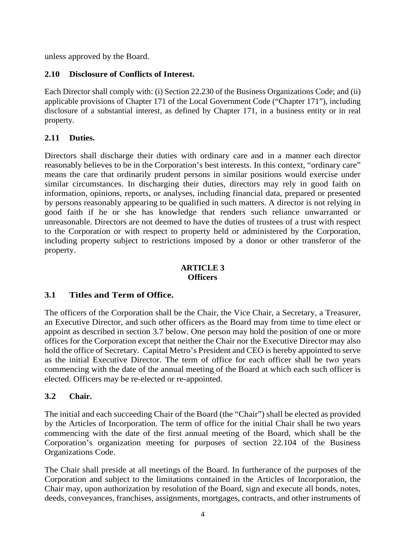unless approved by the Board.

## **2.10 Disclosure of Conflicts of Interest.**

Each Director shall comply with: (i) Section 22.230 of the Business Organizations Code; and (ii) applicable provisions of Chapter 171 of the Local Government Code ("Chapter 171"), including disclosure of a substantial interest, as defined by Chapter 171, in a business entity or in real property.

## **2.11 Duties.**

Directors shall discharge their duties with ordinary care and in a manner each director reasonably believes to be in the Corporation's best interests. In this context, "ordinary care" means the care that ordinarily prudent persons in similar positions would exercise under similar circumstances. In discharging their duties, directors may rely in good faith on information, opinions, reports, or analyses, including financial data, prepared or presented by persons reasonably appearing to be qualified in such matters. A director is not relying in good faith if he or she has knowledge that renders such reliance unwarranted or unreasonable. Directors are not deemed to have the duties of trustees of a trust with respect to the Corporation or with respect to property held or administered by the Corporation, including property subject to restrictions imposed by a donor or other transferor of the property.

## **ARTICLE 3 Officers**

# **3.1 Titles and Term of Office.**

The officers of the Corporation shall be the Chair, the Vice Chair, a Secretary, a Treasurer, an Executive Director, and such other officers as the Board may from time to time elect or appoint as described in section 3.7 below. One person may hold the position of one or more offices for the Corporation except that neither the Chair nor the Executive Director may also hold the office of Secretary. Capital Metro's President and CEO is hereby appointed to serve as the initial Executive Director. The term of office for each officer shall be two years commencing with the date of the annual meeting of the Board at which each such officer is elected. Officers may be re-elected or re-appointed.

## **3.2 Chair.**

The initial and each succeeding Chair of the Board (the "Chair") shall be elected as provided by the Articles of Incorporation. The term of office for the initial Chair shall be two years commencing with the date of the first annual meeting of the Board, which shall be the Corporation's organization meeting for purposes of section 22.104 of the Business Organizations Code.

The Chair shall preside at all meetings of the Board. In furtherance of the purposes of the Corporation and subject to the limitations contained in the Articles of Incorporation, the Chair may, upon authorization by resolution of the Board, sign and execute all bonds, notes, deeds, conveyances, franchises, assignments, mortgages, contracts, and other instruments of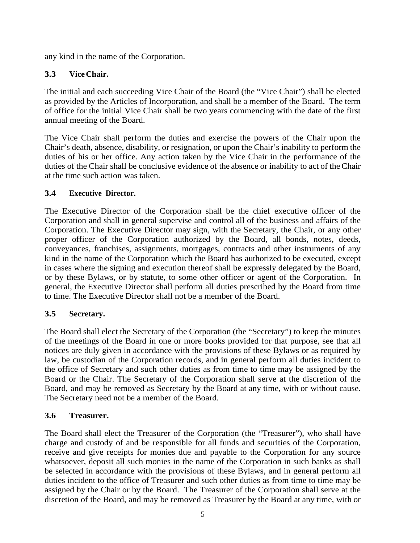any kind in the name of the Corporation.

# **3.3 ViceChair.**

The initial and each succeeding Vice Chair of the Board (the "Vice Chair") shall be elected as provided by the Articles of Incorporation, and shall be a member of the Board. The term of office for the initial Vice Chair shall be two years commencing with the date of the first annual meeting of the Board.

The Vice Chair shall perform the duties and exercise the powers of the Chair upon the Chair's death, absence, disability, or resignation, or upon the Chair's inability to perform the duties of his or her office. Any action taken by the Vice Chair in the performance of the duties of the Chair shall be conclusive evidence of the absence or inability to act of theChair at the time such action was taken.

## **3.4 Executive Director.**

The Executive Director of the Corporation shall be the chief executive officer of the Corporation and shall in general supervise and control all of the business and affairs of the Corporation. The Executive Director may sign, with the Secretary, the Chair, or any other proper officer of the Corporation authorized by the Board, all bonds, notes, deeds, conveyances, franchises, assignments, mortgages, contracts and other instruments of any kind in the name of the Corporation which the Board has authorized to be executed, except in cases where the signing and execution thereof shall be expressly delegated by the Board, or by these Bylaws, or by statute, to some other officer or agent of the Corporation. In general, the Executive Director shall perform all duties prescribed by the Board from time to time. The Executive Director shall not be a member of the Board.

# **3.5 Secretary.**

The Board shall elect the Secretary of the Corporation (the "Secretary") to keep the minutes of the meetings of the Board in one or more books provided for that purpose, see that all notices are duly given in accordance with the provisions of these Bylaws or as required by law, be custodian of the Corporation records, and in general perform all duties incident to the office of Secretary and such other duties as from time to time may be assigned by the Board or the Chair. The Secretary of the Corporation shall serve at the discretion of the Board, and may be removed as Secretary by the Board at any time, with or without cause. The Secretary need not be a member of the Board.

## **3.6 Treasurer.**

The Board shall elect the Treasurer of the Corporation (the "Treasurer"), who shall have charge and custody of and be responsible for all funds and securities of the Corporation, receive and give receipts for monies due and payable to the Corporation for any source whatsoever, deposit all such monies in the name of the Corporation in such banks as shall be selected in accordance with the provisions of these Bylaws, and in general perform all duties incident to the office of Treasurer and such other duties as from time to time may be assigned by the Chair or by the Board. The Treasurer of the Corporation shall serve at the discretion of the Board, and may be removed as Treasurer by the Board at any time, with or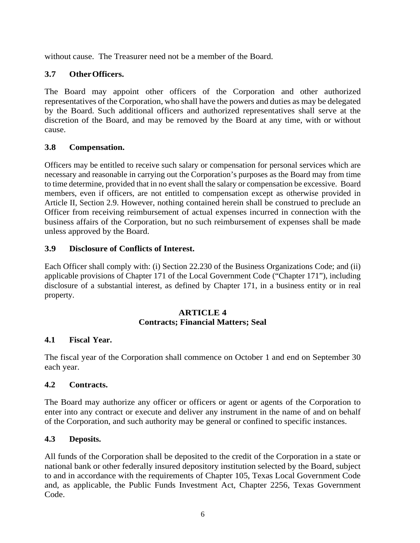without cause. The Treasurer need not be a member of the Board.

# **3.7 OtherOfficers.**

The Board may appoint other officers of the Corporation and other authorized representatives of the Corporation, who shall have the powers and duties as may be delegated by the Board. Such additional officers and authorized representatives shall serve at the discretion of the Board, and may be removed by the Board at any time, with or without cause.

# **3.8 Compensation.**

Officers may be entitled to receive such salary or compensation for personal services which are necessary and reasonable in carrying out the Corporation's purposes as the Board may from time to time determine, provided that in no event shall the salary or compensation be excessive. Board members, even if officers, are not entitled to compensation except as otherwise provided in Article II, Section 2.9. However, nothing contained herein shall be construed to preclude an Officer from receiving reimbursement of actual expenses incurred in connection with the business affairs of the Corporation, but no such reimbursement of expenses shall be made unless approved by the Board.

## **3.9 Disclosure of Conflicts of Interest.**

Each Officer shall comply with: (i) Section 22.230 of the Business Organizations Code; and (ii) applicable provisions of Chapter 171 of the Local Government Code ("Chapter 171"), including disclosure of a substantial interest, as defined by Chapter 171, in a business entity or in real property.

## **ARTICLE 4 Contracts; Financial Matters; Seal**

# **4.1 Fiscal Year.**

The fiscal year of the Corporation shall commence on October 1 and end on September 30 each year.

# **4.2 Contracts.**

The Board may authorize any officer or officers or agent or agents of the Corporation to enter into any contract or execute and deliver any instrument in the name of and on behalf of the Corporation, and such authority may be general or confined to specific instances.

# **4.3 Deposits.**

All funds of the Corporation shall be deposited to the credit of the Corporation in a state or national bank or other federally insured depository institution selected by the Board, subject to and in accordance with the requirements of Chapter 105, Texas Local Government Code and, as applicable, the Public Funds Investment Act, Chapter 2256, Texas Government Code.